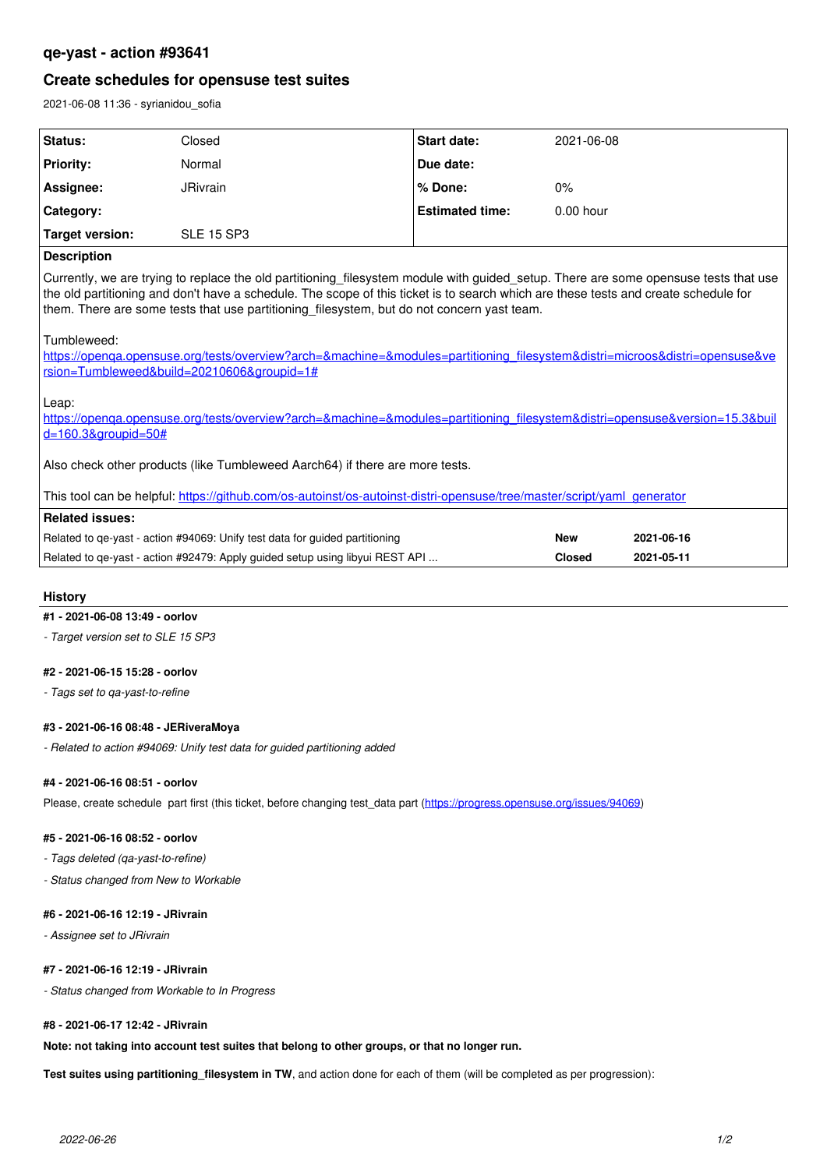# **qe-yast - action #93641**

# **Create schedules for opensuse test suites**

2021-06-08 11:36 - syrianidou\_sofia

| Status:          | Closed            | <b>Start date:</b>     | 2021-06-08  |
|------------------|-------------------|------------------------|-------------|
| <b>Priority:</b> | Normal            | Due date:              |             |
| Assignee:        | <b>JRivrain</b>   | l % Done:              | 0%          |
| ∣ Category:      |                   | <b>Estimated time:</b> | $0.00$ hour |
| Target version:  | <b>SLE 15 SP3</b> |                        |             |

# **Description**

Currently, we are trying to replace the old partitioning\_filesystem module with guided\_setup. There are some opensuse tests that use the old partitioning and don't have a schedule. The scope of this ticket is to search which are these tests and create schedule for them. There are some tests that use partitioning filesystem, but do not concern yast team.

### Tumbleweed:

[https://openqa.opensuse.org/tests/overview?arch=&machine=&modules=partitioning\\_filesystem&distri=microos&distri=opensuse&ve](https://openqa.opensuse.org/tests/overview?arch=&machine=&modules=partitioning_filesystem&distri=microos&distri=opensuse&version=Tumbleweed&build=20210606&groupid=1#) [rsion=Tumbleweed&build=20210606&groupid=1#](https://openqa.opensuse.org/tests/overview?arch=&machine=&modules=partitioning_filesystem&distri=microos&distri=opensuse&version=Tumbleweed&build=20210606&groupid=1#)

Leap:

[https://openqa.opensuse.org/tests/overview?arch=&machine=&modules=partitioning\\_filesystem&distri=opensuse&version=15.3&buil](https://openqa.opensuse.org/tests/overview?arch=&machine=&modules=partitioning_filesystem&distri=opensuse&version=15.3&build=160.3&groupid=50#) [d=160.3&groupid=50#](https://openqa.opensuse.org/tests/overview?arch=&machine=&modules=partitioning_filesystem&distri=opensuse&version=15.3&build=160.3&groupid=50#)

Also check other products (like Tumbleweed Aarch64) if there are more tests.

This tool can be helpful: [https://github.com/os-autoinst/os-autoinst-distri-opensuse/tree/master/script/yaml\\_generator](https://github.com/os-autoinst/os-autoinst-distri-opensuse/tree/master/script/yaml_generator)

| Related issues:                                                              |               |            |
|------------------------------------------------------------------------------|---------------|------------|
| Related to ge-yast - action #94069: Unify test data for guided partitioning  | New           | 2021-06-16 |
| Related to ge-yast - action #92479: Apply guided setup using libyui REST API | <b>Closed</b> | 2021-05-11 |

### **History**

### **#1 - 2021-06-08 13:49 - oorlov**

*- Target version set to SLE 15 SP3*

## **#2 - 2021-06-15 15:28 - oorlov**

*- Tags set to qa-yast-to-refine*

#### **#3 - 2021-06-16 08:48 - JERiveraMoya**

*- Related to action #94069: Unify test data for guided partitioning added*

#### **#4 - 2021-06-16 08:51 - oorlov**

Please, create schedule part first (this ticket, before changing test data part (<https://progress.opensuse.org/issues/94069>)

#### **#5 - 2021-06-16 08:52 - oorlov**

*- Tags deleted (qa-yast-to-refine)*

*- Status changed from New to Workable*

#### **#6 - 2021-06-16 12:19 - JRivrain**

*- Assignee set to JRivrain*

# **#7 - 2021-06-16 12:19 - JRivrain**

*- Status changed from Workable to In Progress*

## **#8 - 2021-06-17 12:42 - JRivrain**

**Note: not taking into account test suites that belong to other groups, or that no longer run.**

**Test suites using partitioning\_filesystem in TW**, and action done for each of them (will be completed as per progression):